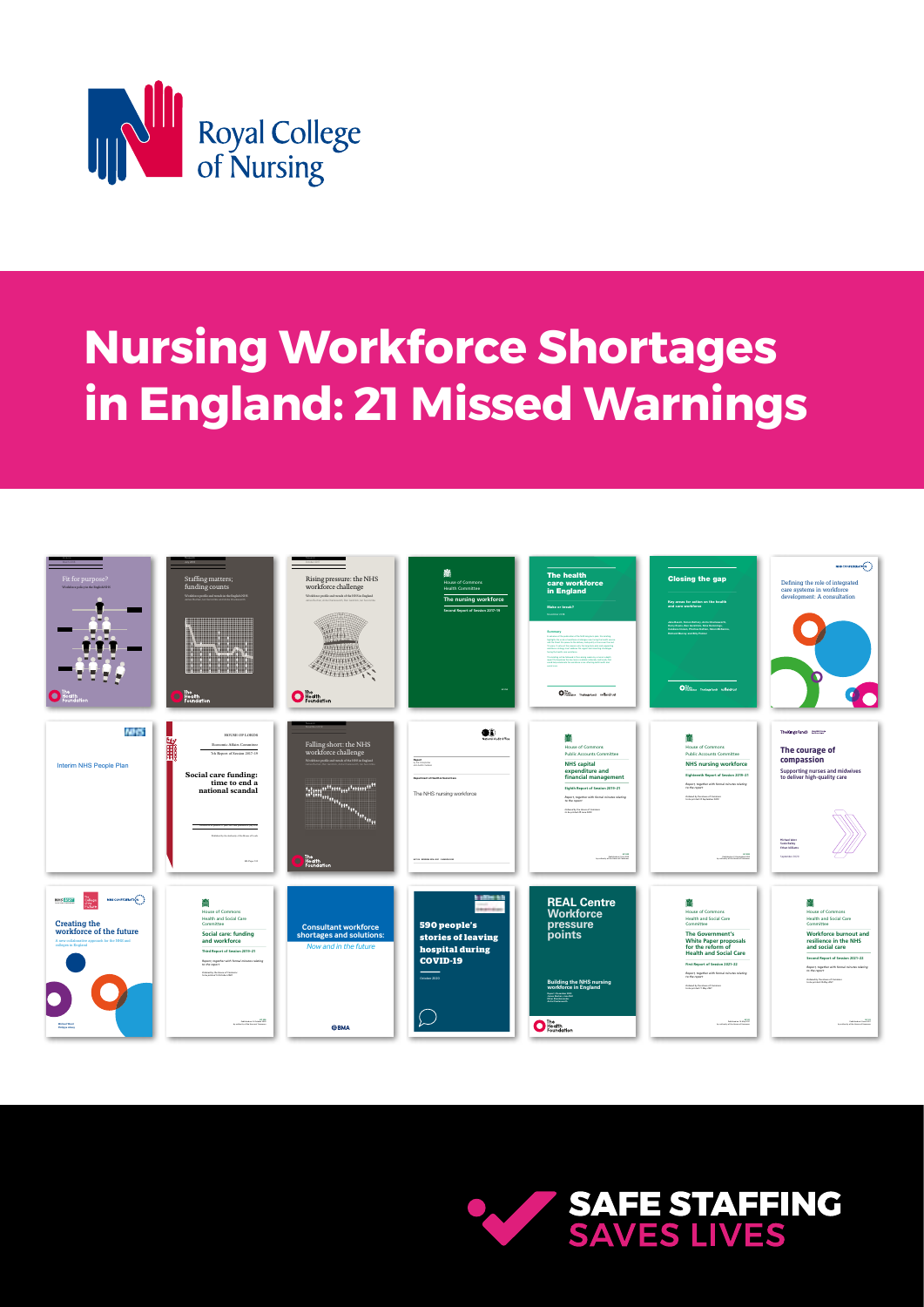

## **Nursing Workforce Shortages in England: 21 Missed Warnings**



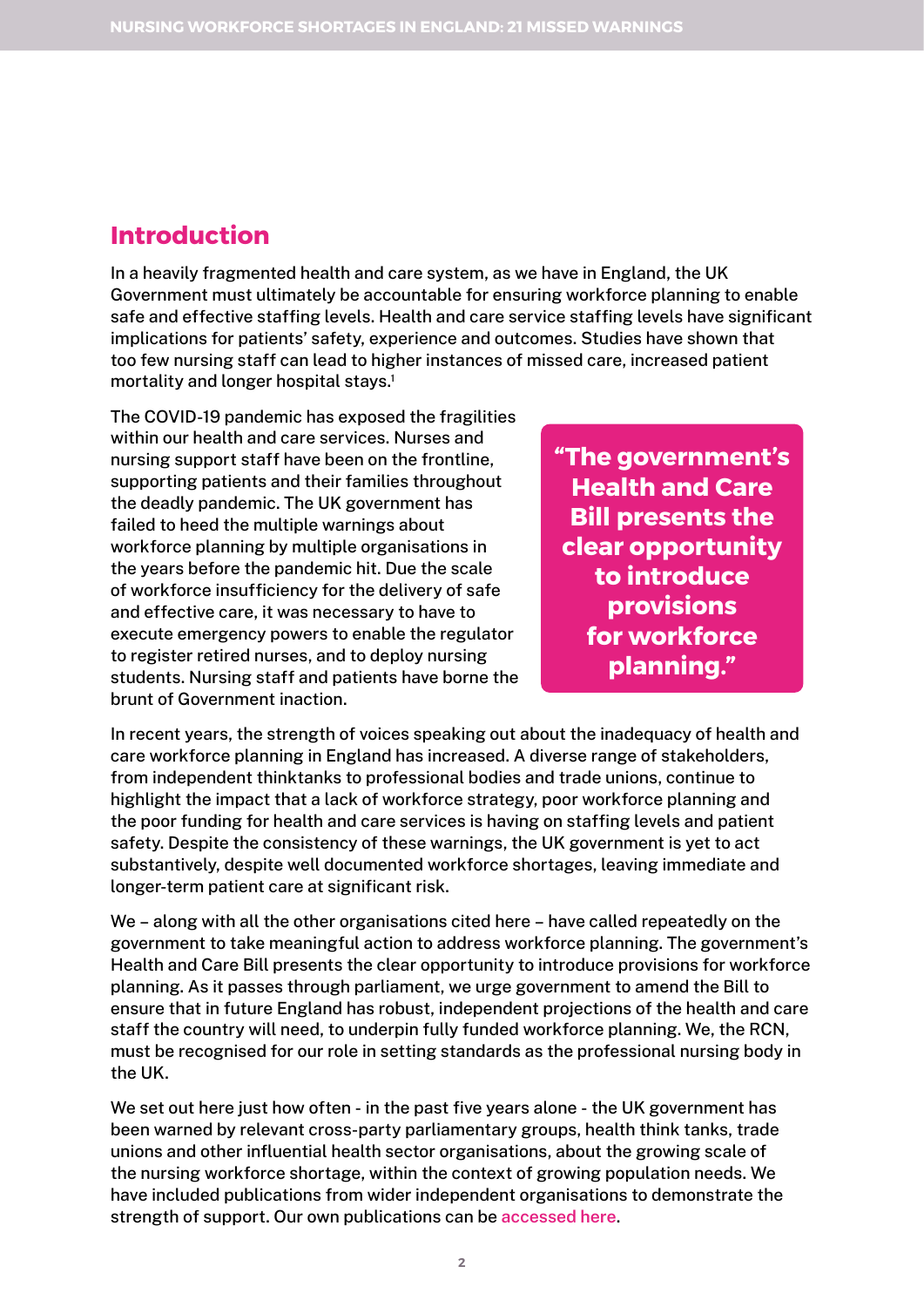### **Introduction**

In a heavily fragmented health and care system, as we have in England, the UK Government must ultimately be accountable for ensuring workforce planning to enable safe and effective staffing levels. Health and care service staffing levels have significant implications for patients' safety, experience and outcomes. Studies have shown that too few nursing staff can lead to higher instances of missed care, increased patient mortality and longer hospital stays.<sup>1</sup>

The COVID-19 pandemic has exposed the fragilities within our health and care services. Nurses and nursing support staff have been on the frontline, supporting patients and their families throughout the deadly pandemic. The UK government has failed to heed the multiple warnings about workforce planning by multiple organisations in the years before the pandemic hit. Due the scale of workforce insufficiency for the delivery of safe and effective care, it was necessary to have to execute emergency powers to enable the regulator to register retired nurses, and to deploy nursing students. Nursing staff and patients have borne the brunt of Government inaction.

**"The government's Health and Care Bill presents the clear opportunity to introduce provisions for workforce planning."**

In recent years, the strength of voices speaking out about the inadequacy of health and care workforce planning in England has increased. A diverse range of stakeholders, from independent thinktanks to professional bodies and trade unions, continue to highlight the impact that a lack of workforce strategy, poor workforce planning and the poor funding for health and care services is having on staffing levels and patient safety. Despite the consistency of these warnings, the UK government is yet to act substantively, despite well documented workforce shortages, leaving immediate and longer-term patient care at significant risk.

We – along with all the other organisations cited here – have called repeatedly on the government to take meaningful action to address workforce planning. The government's Health and Care Bill presents the clear opportunity to introduce provisions for workforce planning. As it passes through parliament, we urge government to amend the Bill to ensure that in future England has robust, independent projections of the health and care staff the country will need, to underpin fully funded workforce planning. We, the RCN, must be recognised for our role in setting standards as the professional nursing body in the UK.

We set out here just how often - in the past five years alone - the UK government has been warned by relevant cross-party parliamentary groups, health think tanks, trade unions and other influential health sector organisations, about the growing scale of the nursing workforce shortage, within the context of growing population needs. We have included publications from wider independent organisations to demonstrate the strength of support. Our own publications can be **[accessed here](https://www.rcn.org.uk/library/subject-guides/staffing-for-safe-and-effective-care)**.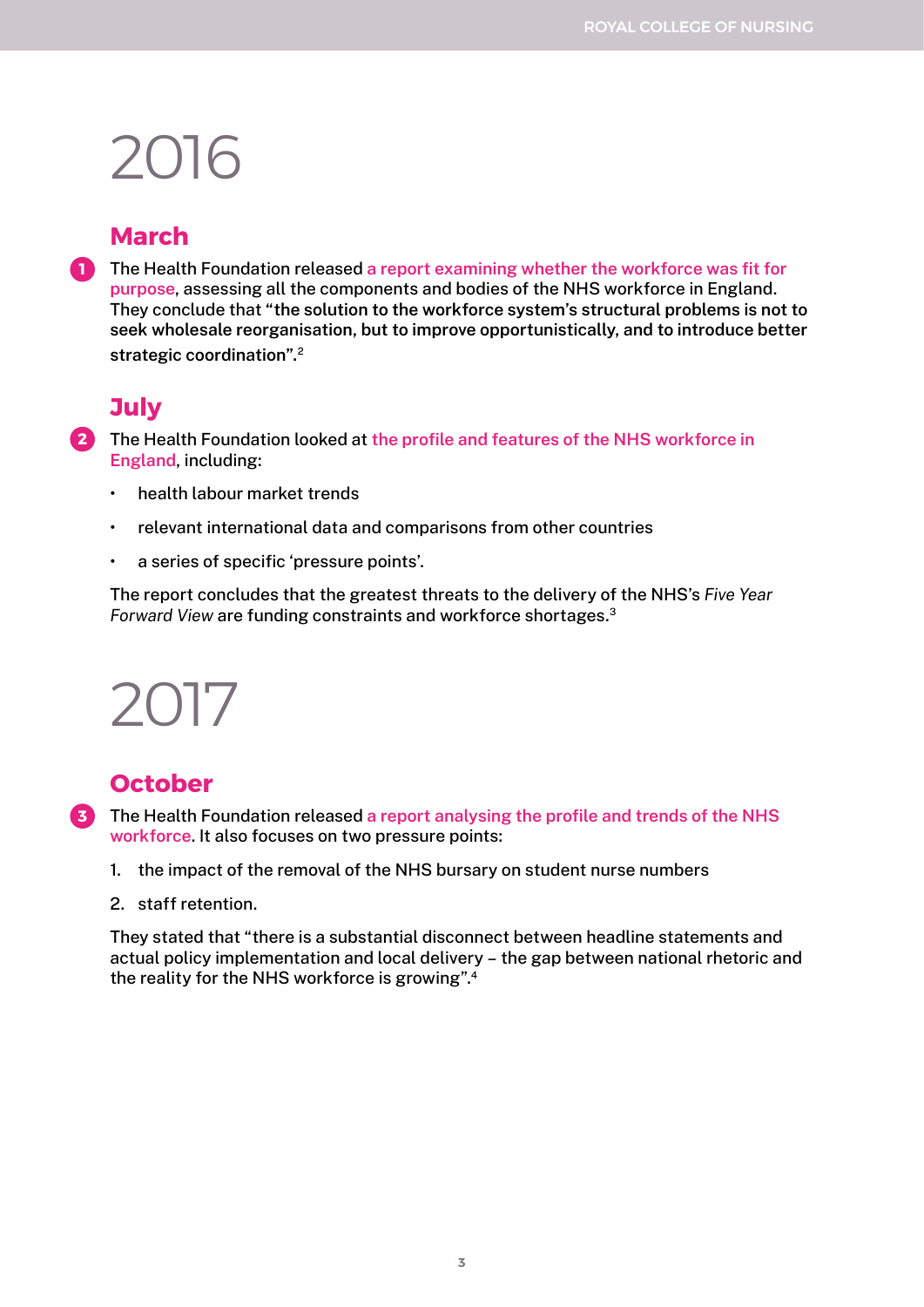## **March**

**1** The Health Foundation released a report examining whether the workforce was fit for **[purpose](https://www.health.org.uk/publications/fit-for-purpose)**, assessing all the components and bodies of the NHS workforce in England. They conclude that **"the solution to the workforce system's structural problems is not to seek wholesale reorganisation, but to improve opportunistically, and to introduce better strategic coordination".**<sup>2</sup>

### **July**

The Health Foundation looked at **[the profile and features of the NHS workforce in](https://www.health.org.uk/publications/staffing-matters-funding-counts)  2 [England](https://www.health.org.uk/publications/staffing-matters-funding-counts)**, including:

- health labour market trends
- relevant international data and comparisons from other countries
- a series of specific 'pressure points'.

The report concludes that the greatest threats to the delivery of the NHS's *Five Year Forward View* are funding constraints and workforce shortages.3

# 2017

### **October**

The Health Foundation released **[a report analysing the profile and trends of the NHS](https://www.health.org.uk/publications/rising-pressure-the-nhs-workforce-challenge)  3[workforce](https://www.health.org.uk/publications/rising-pressure-the-nhs-workforce-challenge)**. It also focuses on two pressure points:

- 1. the impact of the removal of the NHS bursary on student nurse numbers
- 2. staff retention.

They stated that "there is a substantial disconnect between headline statements and actual policy implementation and local delivery – the gap between national rhetoric and the reality for the NHS workforce is growing".4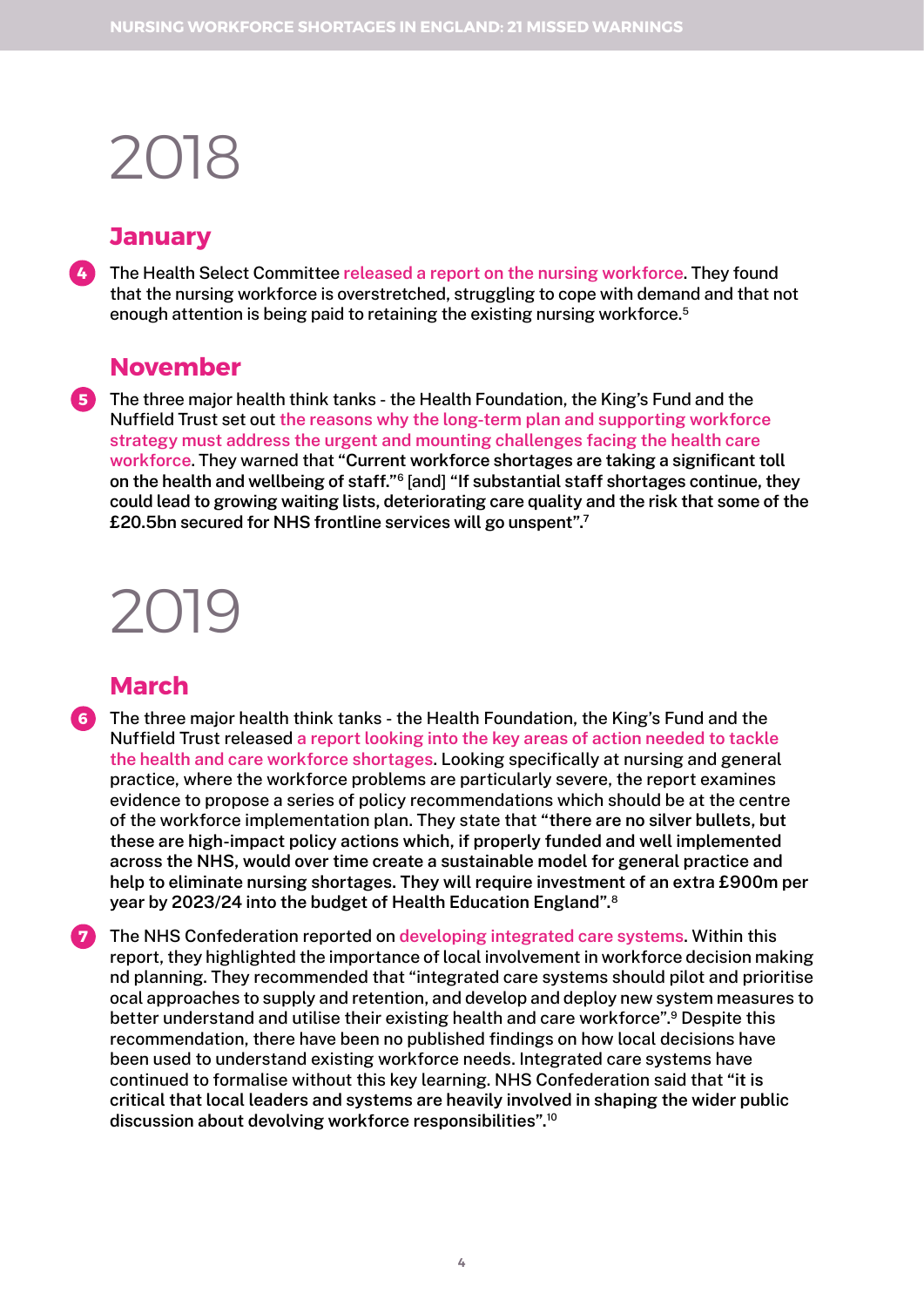### **January**

The Health Select Committee **[released a report on the nursing workforce](https://publications.parliament.uk/pa/cm201719/cmselect/cmhealth/353/353.pdf)**. They found that the nursing workforce is overstretched, struggling to cope with demand and that not enough attention is being paid to retaining the existing nursing workforce.<sup>5</sup> **4**

#### **November**

**5** The three major health think tanks - the Health Foundation, the King's Fund and the Nuffield Trust set out **[the reasons why the long-term plan and supporting workforce](https://www.health.org.uk/publications/the-health-care-workforce-in-england)  [strategy must address the urgent and mounting challenges facing the health care](https://www.health.org.uk/publications/the-health-care-workforce-in-england)  [workforce](https://www.health.org.uk/publications/the-health-care-workforce-in-england)**. They warned that **"Current workforce shortages are taking a significant toll on the health and wellbeing of staff."**6 [and] **"If substantial staff shortages continue, they could lead to growing waiting lists, deteriorating care quality and the risk that some of the £20.5bn secured for NHS frontline services will go unspent".7**

# 2019

### **March**

- The three major health think tanks the Health Foundation, the King's Fund and the **6** Nuffield Trust released **[a report looking into the key areas of action needed to tackle](https://www.kingsfund.org.uk/sites/default/files/2019-06/closing-the-gap-full-report-2019.pdf)  [the health and care workforce shortages](https://www.kingsfund.org.uk/sites/default/files/2019-06/closing-the-gap-full-report-2019.pdf)**. Looking specifically at nursing and general practice, where the workforce problems are particularly severe, the report examines evidence to propose a series of policy recommendations which should be at the centre of the workforce implementation plan. They state that **"there are no silver bullets, but these are high-impact policy actions which, if properly funded and well implemented across the NHS, would over time create a sustainable model for general practice and help to eliminate nursing shortages. They will require investment of an extra £900m per year by 2023/24 into the budget of Health Education England".**<sup>8</sup>
- The NHS Confederation reported on **[developing integrated care systems](https://www.nhsconfed.org/publications/defining-role-integrated-care-systems-workforce-development)**. Within this **7**report, they highlighted the importance of local involvement in workforce decision making nd planning. They recommended that "integrated care systems should pilot and prioritise ocal approaches to supply and retention, and develop and deploy new system measures to better understand and utilise their existing health and care workforce".9 Despite this recommendation, there have been no published findings on how local decisions have been used to understand existing workforce needs. Integrated care systems have continued to formalise without this key learning. NHS Confederation said that **"it is critical that local leaders and systems are heavily involved in shaping the wider public discussion about devolving workforce responsibilities".**<sup>10</sup>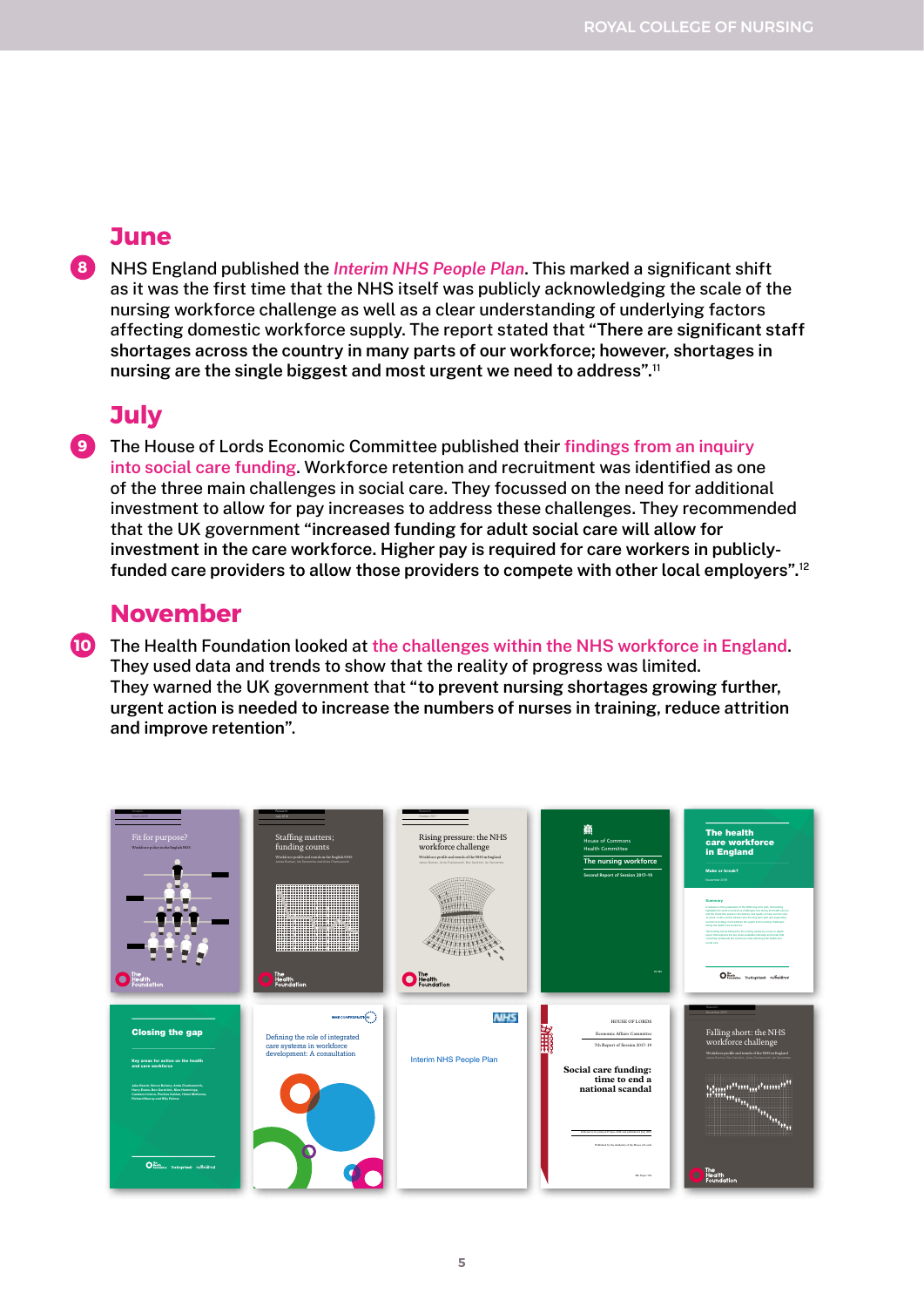#### **June**

**8** NHS England published the *[Interim NHS People Plan](https://www.longtermplan.nhs.uk/wp-content/uploads/2019/05/Interim-NHS-People-Plan_June2019.pdf)*. This marked a significant shift as it was the first time that the NHS itself was publicly acknowledging the scale of the nursing workforce challenge as well as a clear understanding of underlying factors affecting domestic workforce supply. The report stated that **"There are significant staff shortages across the country in many parts of our workforce; however, shortages in nursing are the single biggest and most urgent we need to address".**<sup>11</sup>

### **July**

**9** The House of Lords Economic Committee published their **[findings from an inquiry](https://publications.parliament.uk/pa/ld201719/ldselect/ldeconaf/392/392.pdf)  [into social care funding](https://publications.parliament.uk/pa/ld201719/ldselect/ldeconaf/392/392.pdf)**. Workforce retention and recruitment was identified as one of the three main challenges in social care. They focussed on the need for additional investment to allow for pay increases to address these challenges. They recommended that the UK government **"increased funding for adult social care will allow for investment in the care workforce. Higher pay is required for care workers in publiclyfunded care providers to allow those providers to compete with other local employers".**<sup>12</sup>

#### **November**

**10** The Health Foundation looked at **[the challenges within the NHS workforce in England](https://www.health.org.uk/sites/default/files/upload/publications/2019/S05_Falling%20short_The%20NHS%20workforce%20challenge.pdf)**. They used data and trends to show that the reality of progress was limited. They warned the UK government that **"to prevent nursing shortages growing further, urgent action is needed to increase the numbers of nurses in training, reduce attrition and improve retention"**.

| Fit for purpose?<br>Workforce policy in the English NHS                                                                                                                                                                                                                        | Research<br>July 2016<br>Staffing matters;<br>funding counts<br>Workforce profile and trends in the English NHS<br>James Buchan, lan Seccombe and Anita Charles | Rising pressure: the NHS<br>workforce challenge<br>Workforce profile and trends of the NHS in England<br>James Buchan, Anita Charlesvorth, Ben Gerichick, Ian Seccombe | <b>House of Commons</b><br><b>Health Committee</b><br>The nursing workforce<br>Second Report of Session 2017-19<br>иста                                | <b>The health</b><br>care workforce<br>in England<br>Make or break?<br>November 2018<br>Summary<br>In advance of the cultivation of the MOS took Agen city. Six he<br><b>SURFACES The AUGUST HOARING CRISING AND THIS THE THAT AND INCOME.</b><br>and the threat this poses to the deturny and quality of care over the rest<br>12 years, 5 sets out the regions why the lang-term plan and supportive<br>workforce strategy must address the urgest and mounting challenger<br><b>Saing the health care updduce</b><br>This brading will be followed in the coming weeks by a more in-best<br>report that explores five law tevers available nationally and locatly that<br>could help amelioidly the workfoce crisis affecting both health and<br><b>NORTHERN</b> |
|--------------------------------------------------------------------------------------------------------------------------------------------------------------------------------------------------------------------------------------------------------------------------------|-----------------------------------------------------------------------------------------------------------------------------------------------------------------|------------------------------------------------------------------------------------------------------------------------------------------------------------------------|--------------------------------------------------------------------------------------------------------------------------------------------------------|---------------------------------------------------------------------------------------------------------------------------------------------------------------------------------------------------------------------------------------------------------------------------------------------------------------------------------------------------------------------------------------------------------------------------------------------------------------------------------------------------------------------------------------------------------------------------------------------------------------------------------------------------------------------------------------------------------------------------------------------------------------------|
|                                                                                                                                                                                                                                                                                | The<br>Health<br>Foundation                                                                                                                                     | Health<br>Foundation                                                                                                                                                   |                                                                                                                                                        | $\mathbf{O}^{\text{lin}}_{\text{non-free}}$ nempton rufisidrus                                                                                                                                                                                                                                                                                                                                                                                                                                                                                                                                                                                                                                                                                                      |
| <b>Closing the gap</b><br>Key areas for action on the health<br>and care workforce<br>Jake Beech, Simon Bottery, Anita Charlesworth,<br>Harry Exans, Ben Gerahlick, Nina Hemmings,<br>Candace Imison, Pinchas Kahtan, Helen McKenna,<br><b>Richard Murray and Billy Palmer</b> | NHSCONFEDERATION<br>Defining the role of integrated<br>care systems in workforce<br>development: A consultation                                                 | <b>NHS</b><br>Interim NHS People Plan                                                                                                                                  | <b>HOUSE OF LORDS</b><br>Economic Affairs Committee<br>顯<br>7th Report of Session 2017-19<br>Social care funding:<br>time to end a<br>national scandal | Falling short: the NHS<br>workforce challenge<br>Workforce profile and trends of the NHS in England<br>James Buchan, Ben Gerträck, Anta Charlessoch, Ian Seccords<br>':::::: <sup>::::</sup> :::: <sub>:::</sub> : <sup>:</sup> :::::: <sup>:::"</sup><br>': <sup>:</sup> ::::: <sub>:::::::::.</sub>                                                                                                                                                                                                                                                                                                                                                                                                                                                               |
| O hango meteoriano nuficidinal                                                                                                                                                                                                                                                 |                                                                                                                                                                 |                                                                                                                                                                        | Onlined to be printed 27 June 2009 and published 4 July 2009<br>Published by the Authority of the House of Lords<br>HL Paner 392                       | $\mathbf{r}_{\mathbf{t}_1 \mathbf{t}_2 \mathbf{t}_3}$<br>The<br>Health<br>Foundation                                                                                                                                                                                                                                                                                                                                                                                                                                                                                                                                                                                                                                                                                |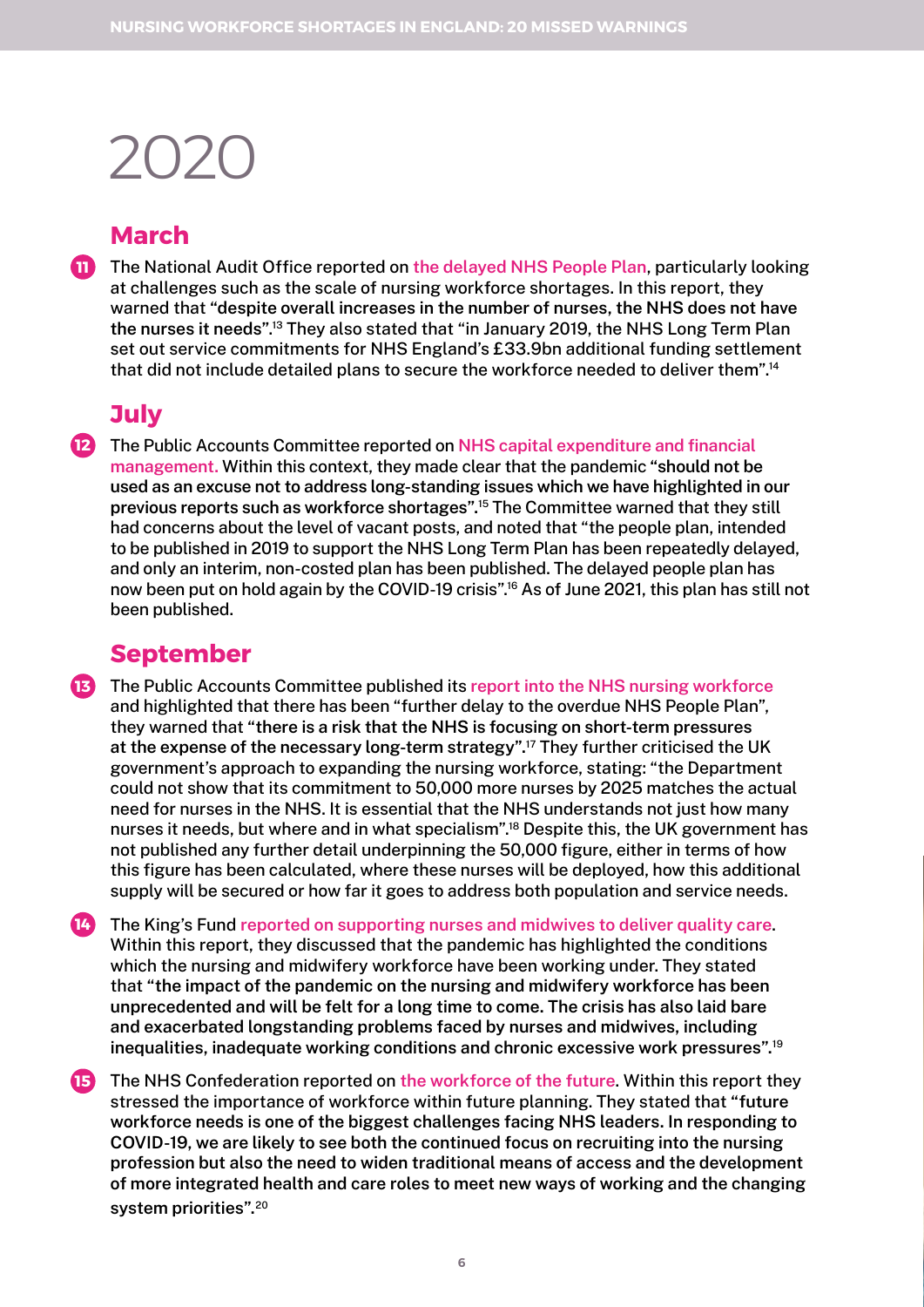### **March**

The National Audit Office reported on **[the delayed NHS People Plan](https://www.nao.org.uk/wp-content/uploads/2020/03/The-NHS-nursing-workforce.pdf)**, particularly looking **11** at challenges such as the scale of nursing workforce shortages. In this report, they warned that **"despite overall increases in the number of nurses, the NHS does not have the nurses it needs"**. 13 They also stated that "in January 2019, the NHS Long Term Plan set out service commitments for NHS England's £33.9bn additional funding settlement that did not include detailed plans to secure the workforce needed to deliver them".14

## **July**

The Public Accounts Committee reported on **[NHS capital expenditure and financial](https://committees.parliament.uk/publications/1779/documents/17455/default/)  12 [management](https://committees.parliament.uk/publications/1779/documents/17455/default/).** Within this context, they made clear that the pandemic **"should not be used as an excuse not to address long-standing issues which we have highlighted in our previous reports such as workforce shortages".**15 The Committee warned that they still had concerns about the level of vacant posts, and noted that "the people plan, intended to be published in 2019 to support the NHS Long Term Plan has been repeatedly delayed, and only an interim, non-costed plan has been published. The delayed people plan has now been put on hold again by the COVID-19 crisis".<sup>16</sup> As of June 2021, this plan has still not been published.

#### **September**

The Public Accounts Committee published its **[report into the NHS nursing workforce](https://committees.parliament.uk/publications/2675/documents/26512/default/) 13** and highlighted that there has been "further delay to the overdue NHS People Plan", they warned that **"there is a risk that the NHS is focusing on short-term pressures at the expense of the necessary long-term strategy".**17 They further criticised the UK government's approach to expanding the nursing workforce, stating: "the Department could not show that its commitment to 50,000 more nurses by 2025 matches the actual need for nurses in the NHS. It is essential that the NHS understands not just how many nurses it needs, but where and in what specialism".18 Despite this, the UK government has not published any further detail underpinning the 50,000 figure, either in terms of how this figure has been calculated, where these nurses will be deployed, how this additional supply will be secured or how far it goes to address both population and service needs.

The King's Fund **[reported on supporting nurses and midwives to deliver quality care](https://www.kingsfund.org.uk/publications/courage-compassion-supporting-nurses-midwives)**. Within this report, they discussed that the pandemic has highlighted the conditions which the nursing and midwifery workforce have been working under. They stated that **"the impact of the pandemic on the nursing and midwifery workforce has been unprecedented and will be felt for a long time to come. The crisis has also laid bare and exacerbated longstanding problems faced by nurses and midwives, including inequalities, inadequate working conditions and chronic excessive work pressures".**<sup>19</sup> **14**

The NHS Confederation reported on **[the workforce of the future](https://www.nhsconfed.org/publications/creating-workforce-future)**. Within this report they **15**stressed the importance of workforce within future planning. They stated that **"future workforce needs is one of the biggest challenges facing NHS leaders. In responding to COVID-19, we are likely to see both the continued focus on recruiting into the nursing profession but also the need to widen traditional means of access and the development of more integrated health and care roles to meet new ways of working and the changing system priorities".**<sup>20</sup>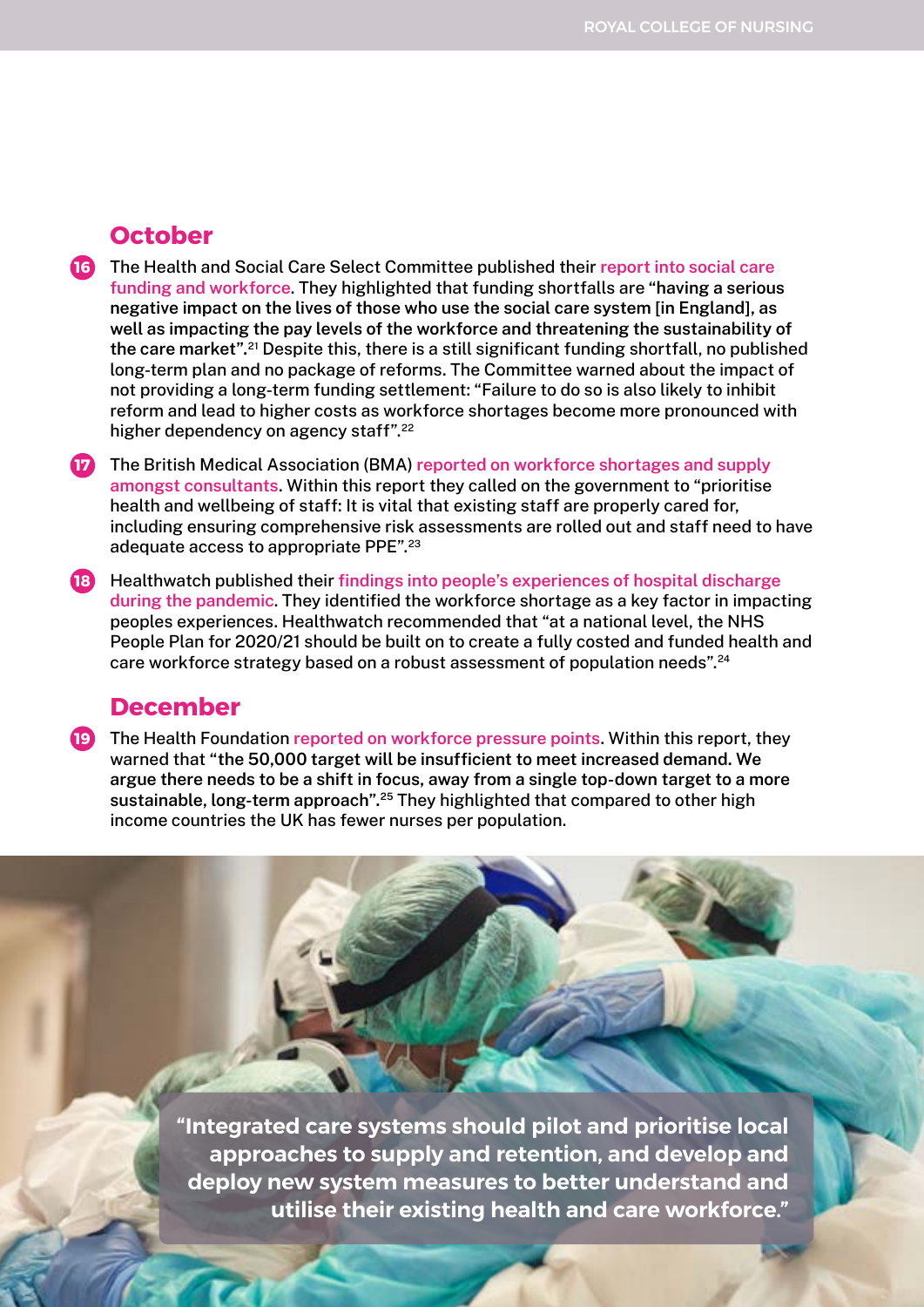#### **October**

- The Health and Social Care Select Committee published their **[report into social care](https://committees.parliament.uk/publications/3120/documents/29193/default/)  16 [funding and workforce](https://committees.parliament.uk/publications/3120/documents/29193/default/)**. They highlighted that funding shortfalls are **"having a serious negative impact on the lives of those who use the social care system [in England], as well as impacting the pay levels of the workforce and threatening the sustainability of the care market".**21 Despite this, there is a still significant funding shortfall, no published long-term plan and no package of reforms. The Committee warned about the impact of not providing a long-term funding settlement: "Failure to do so is also likely to inhibit reform and lead to higher costs as workforce shortages become more pronounced with higher dependency on agency staff".<sup>22</sup>
- The British Medical Association (BMA) **[reported on workforce shortages and supply](https://www.bma.org.uk/media/3430/bma-consultants-retention-paper.pdf)  17 [amongst consultants](https://www.bma.org.uk/media/3430/bma-consultants-retention-paper.pdf)**. Within this report they called on the government to "prioritise health and wellbeing of staff: It is vital that existing staff are properly cared for, including ensuring comprehensive risk assessments are rolled out and staff need to have adequate access to appropriate PPE".23
- Healthwatch published their **[findings into people's experiences of hospital discharge](https://www.healthwatch.co.uk/sites/healthwatch.co.uk/files/20201026%20Peoples%20experiences%20of%20leaving%20hospital%20during%20COVID-19_0.pdf)  18 [during the pandemic](https://www.healthwatch.co.uk/sites/healthwatch.co.uk/files/20201026%20Peoples%20experiences%20of%20leaving%20hospital%20during%20COVID-19_0.pdf)**. They identified the workforce shortage as a key factor in impacting peoples experiences. Healthwatch recommended that "at a national level, the NHS People Plan for 2020/21 should be built on to create a fully costed and funded health and care workforce strategy based on a robust assessment of population needs".<sup>24</sup>

#### **December**

The Health Foundation **[reported on workforce pressure points](https://www.health.org.uk/publications/reports/building-the-nhs-nursing-workforce-in-england)**. Within this report, they **19**warned that **"the 50,000 target will be insufficient to meet increased demand. We argue there needs to be a shift in focus, away from a single top-down target to a more sustainable, long-term approach".25** They highlighted that compared to other high income countries the UK has fewer nurses per population.

> **"Integrated care systems should pilot and prioritise local approaches to supply and retention, and develop and deploy new system measures to better understand and utilise their existing health and care workforce."**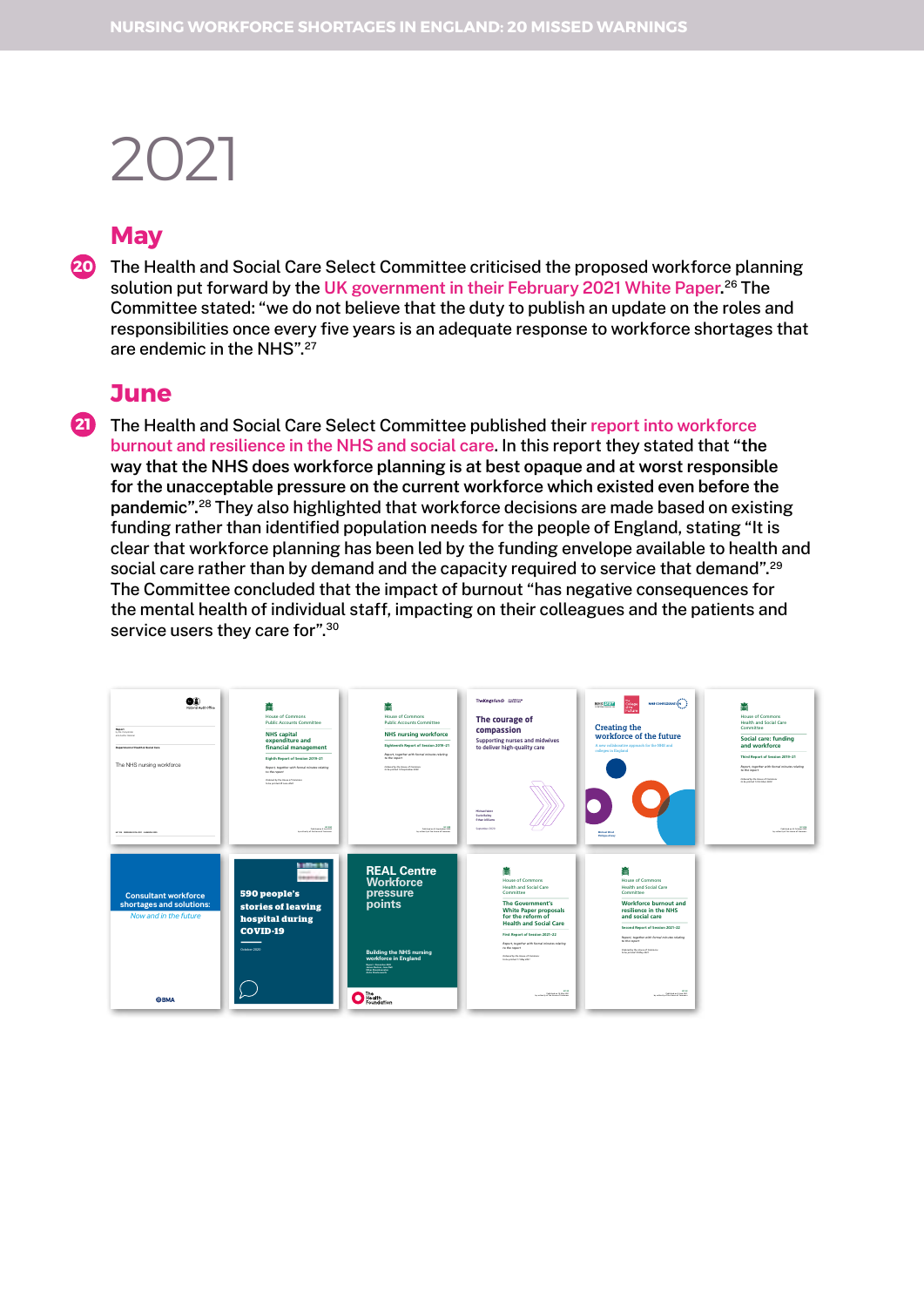### **May**

The Health and Social Care Select Committee criticised the proposed workforce planning **20** solution put forward by the **[UK government in their February 2021 White Paper](https://committees.parliament.uk/publications/5827/documents/67112/default/).** 26 The Committee stated: "we do not believe that the duty to publish an update on the roles and responsibilities once every five years is an adequate response to workforce shortages that are endemic in the NHS".27

#### **June**

The Health and Social Care Select Committee published their **[report into workforce](https://committees.parliament.uk/publications/6158/documents/68766/default/)  [burnout and resilience in the NHS and social care](https://committees.parliament.uk/publications/6158/documents/68766/default/)**. In this report they stated that **"the way that the NHS does workforce planning is at best opaque and at worst responsible for the unacceptable pressure on the current workforce which existed even before the pandemic".**28 They also highlighted that workforce decisions are made based on existing funding rather than identified population needs for the people of England, stating "It is clear that workforce planning has been led by the funding envelope available to health and social care rather than by demand and the capacity required to service that demand".<sup>29</sup> The Committee concluded that the impact of burnout "has negative consequences for the mental health of individual staff, impacting on their colleagues and the patients and service users they care for".<sup>30</sup> **21**

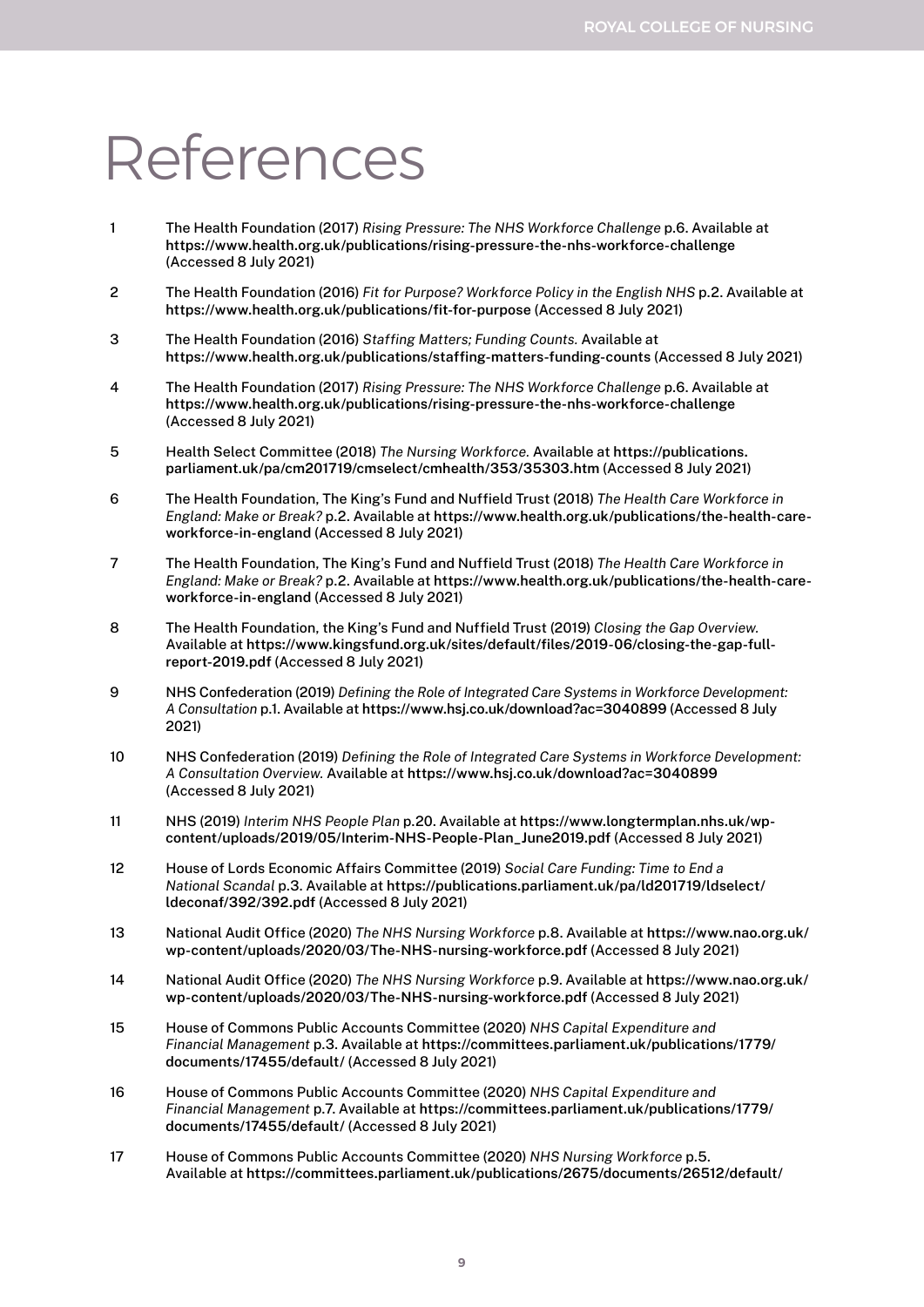# References

- 1 The Health Foundation (2017) *Rising Pressure: The NHS Workforce Challenge* p.6. Available at **<https://www.health.org.uk/publications/rising-pressure-the-nhs-workforce-challenge>** (Accessed 8 July 2021)
- 2 The Health Foundation (2016) *Fit for Purpose? Workforce Policy in the English NHS* p.2. Available at **<https://www.health.org.uk/publications/fit-for-purpose>** (Accessed 8 July 2021)
- 3 The Health Foundation (2016) *Staffing Matters; Funding Counts.* Available at **<https://www.health.org.uk/publications/staffing-matters-funding-counts>** (Accessed 8 July 2021)
- 4 The Health Foundation (2017) *Rising Pressure: The NHS Workforce Challenge* p.6. Available at **<https://www.health.org.uk/publications/rising-pressure-the-nhs-workforce-challenge>** (Accessed 8 July 2021)
- 5 Health Select Committee (2018) *The Nursing Workforce.* Available at **[https://publications.](https://publications.parliament.uk/pa/cm201719/cmselect/cmhealth/353/35303.htm) [parliament.uk/pa/cm201719/cmselect/cmhealth/353/35303.htm](https://publications.parliament.uk/pa/cm201719/cmselect/cmhealth/353/35303.htm)** (Accessed 8 July 2021)
- 6 The Health Foundation, The King's Fund and Nuffield Trust (2018) *The Health Care Workforce in England: Make or Break?* p.2. Available at **[https://www.health.org.uk/publications/the-health-care](https://www.health.org.uk/publications/the-health-care-workforce-in-england)[workforce-in-england](https://www.health.org.uk/publications/the-health-care-workforce-in-england)** (Accessed 8 July 2021)
- 7 The Health Foundation, The King's Fund and Nuffield Trust (2018) *The Health Care Workforce in England: Make or Break?* p.2. Available at **[https://www.health.org.uk/publications/the-health-care](https://www.health.org.uk/publications/the-health-care-workforce-in-england)[workforce-in-england](https://www.health.org.uk/publications/the-health-care-workforce-in-england)** (Accessed 8 July 2021)
- 8 The Health Foundation, the King's Fund and Nuffield Trust (2019) *Closing the Gap Overview.* Available at **[https://www.kingsfund.org.uk/sites/default/files/2019-06/closing-the-gap-full](https://www.kingsfund.org.uk/sites/default/files/2019-06/closing-the-gap-full-report-2019.pdf)[report-2019.pdf](https://www.kingsfund.org.uk/sites/default/files/2019-06/closing-the-gap-full-report-2019.pdf)** (Accessed 8 July 2021)
- 9 NHS Confederation (2019) *Defining the Role of Integrated Care Systems in Workforce Development: A Consultation* p.1. Available at**<https://www.hsj.co.uk/download?ac=3040899>** (Accessed 8 July 2021)
- 10 NHS Confederation (2019) *Defining the Role of Integrated Care Systems in Workforce Development: A Consultation Overview.* Available at **<https://www.hsj.co.uk/download?ac=3040899>** (Accessed 8 July 2021)
- 11 NHS (2019) *Interim NHS People Plan* p.20. Available at **[https://www.longtermplan.nhs.uk/wp](https://www.longtermplan.nhs.uk/wp-content/uploads/2019/05/Interim-NHS-People-Plan_June2019.pdf)[content/uploads/2019/05/Interim-NHS-People-Plan\\_June2019.pdf](https://www.longtermplan.nhs.uk/wp-content/uploads/2019/05/Interim-NHS-People-Plan_June2019.pdf)** (Accessed 8 July 2021)
- 12 House of Lords Economic Affairs Committee (2019) *Social Care Funding: Time to End a National Scandal* p.3. Available at **[https://publications.parliament.uk/pa/ld201719/ldselect/](https://publications.parliament.uk/pa/ld201719/ldselect/ldeconaf/392/392.pdf) [ldeconaf/392/392.pdf](https://publications.parliament.uk/pa/ld201719/ldselect/ldeconaf/392/392.pdf)** (Accessed 8 July 2021)
- 13 National Audit Office (2020) *The NHS Nursing Workforce* p.8. Available at **[https://www.nao.org.uk/](https://www.nao.org.uk/wp-content/uploads/2020/03/The-NHS-nursing-workforce.pdf) [wp-content/uploads/2020/03/The-NHS-nursing-workforce.pdf](https://www.nao.org.uk/wp-content/uploads/2020/03/The-NHS-nursing-workforce.pdf)** (Accessed 8 July 2021)
- 14 National Audit Office (2020) *The NHS Nursing Workforce* p.9. Available at **[https://www.nao.org.uk/](https://www.nao.org.uk/wp-content/uploads/2020/03/The-NHS-nursing-workforce.pdf) [wp-content/uploads/2020/03/The-NHS-nursing-workforce.pdf](https://www.nao.org.uk/wp-content/uploads/2020/03/The-NHS-nursing-workforce.pdf)** (Accessed 8 July 2021)
- 15 House of Commons Public Accounts Committee (2020) *NHS Capital Expenditure and Financial Management* p.3. Available at **[https://committees.parliament.uk/publications/1779/](https://committees.parliament.uk/publications/1779/documents/17455/default/) [documents/17455/default/](https://committees.parliament.uk/publications/1779/documents/17455/default/)** (Accessed 8 July 2021)
- 16 House of Commons Public Accounts Committee (2020) *NHS Capital Expenditure and Financial Management* p.7. Available at **[https://committees.parliament.uk/publications/1779/](https://committees.parliament.uk/publications/1779/documents/17455/default/) [documents/17455/default/](https://committees.parliament.uk/publications/1779/documents/17455/default/)** (Accessed 8 July 2021)
- 17 House of Commons Public Accounts Committee (2020) *NHS Nursing Workforce* p.5. Available at **<https://committees.parliament.uk/publications/2675/documents/26512/default/>**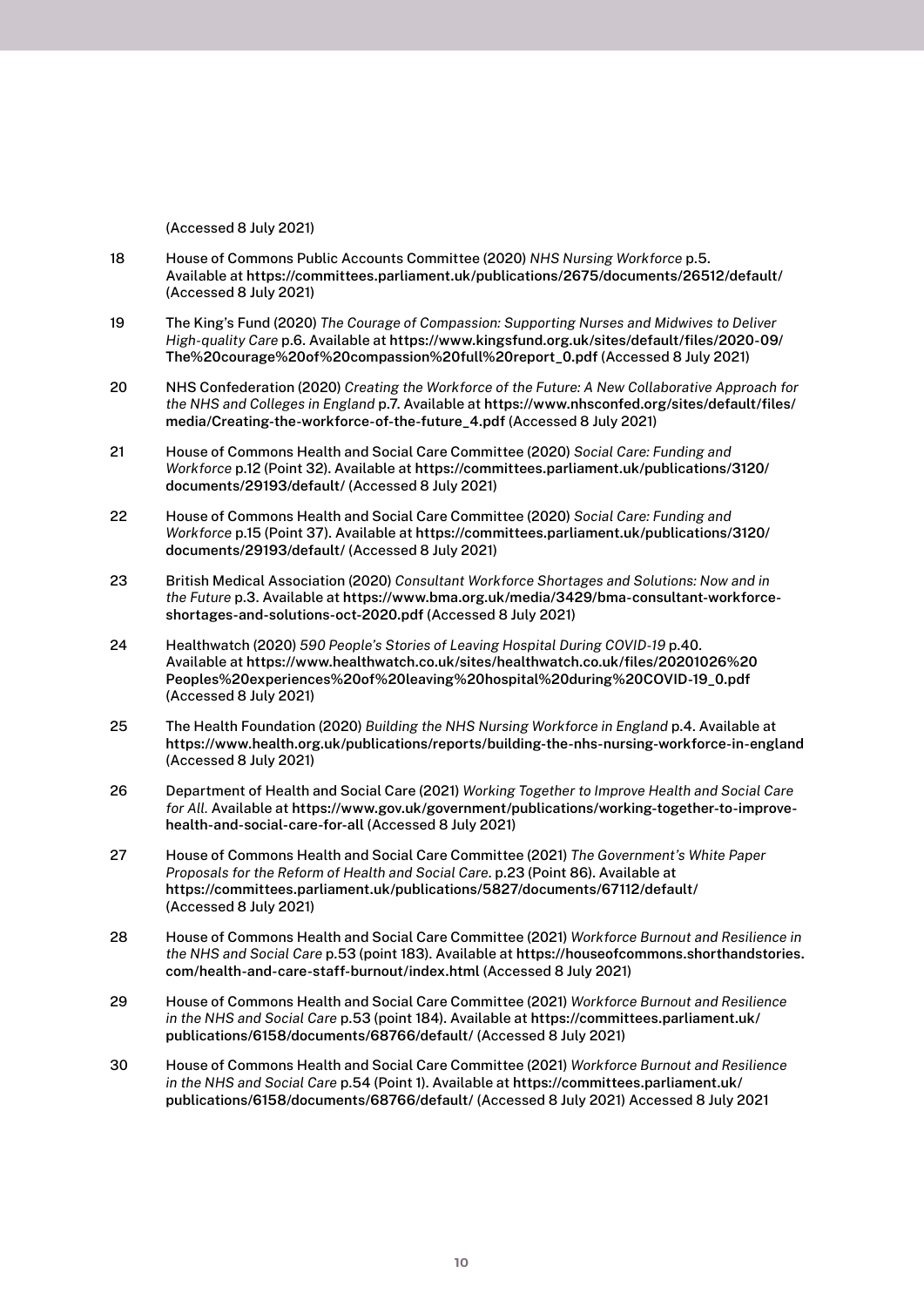(Accessed 8 July 2021)

- 18 House of Commons Public Accounts Committee (2020) *NHS Nursing Workforce* p.5. Available at **<https://committees.parliament.uk/publications/2675/documents/26512/default/>** (Accessed 8 July 2021)
- 19 The King's Fund (2020) *The Courage of Compassion: Supporting Nurses and Midwives to Deliver High-quality Care* p.6. Available at **[https://www.kingsfund.org.uk/sites/default/files/2020-09/](https://www.kingsfund.org.uk/sites/default/files/2020-09/The%20courage%20of%20compassion%20full%20report_0.pdf) [The%20courage%20of%20compassion%20full%20report\\_0.pdf](https://www.kingsfund.org.uk/sites/default/files/2020-09/The%20courage%20of%20compassion%20full%20report_0.pdf)** (Accessed 8 July 2021)
- 20 NHS Confederation (2020) *Creating the Workforce of the Future: A New Collaborative Approach for the NHS and Colleges in England* p.7. Available at **[https://www.nhsconfed.org/sites/default/files/](https://www.nhsconfed.org/sites/default/files/media/Creating-the-workforce-of-the-future_4.pdf) [media/Creating-the-workforce-of-the-future\\_4.pdf](https://www.nhsconfed.org/sites/default/files/media/Creating-the-workforce-of-the-future_4.pdf)** (Accessed 8 July 2021)
- 21 House of Commons Health and Social Care Committee (2020) *Social Care: Funding and Workforce* p.12 (Point 32). Available at **[https://committees.parliament.uk/publications/3120/](https://committees.parliament.uk/publications/3120/documents/29193/default/) [documents/29193/default/](https://committees.parliament.uk/publications/3120/documents/29193/default/)** (Accessed 8 July 2021)
- 22 House of Commons Health and Social Care Committee (2020) *Social Care: Funding and Workforce* p.15 (Point 37). Available at **[https://committees.parliament.uk/publications/3120/](https://committees.parliament.uk/publications/3120/documents/29193/default/) [documents/29193/default/](https://committees.parliament.uk/publications/3120/documents/29193/default/)** (Accessed 8 July 2021)
- 23 British Medical Association (2020) *Consultant Workforce Shortages and Solutions: Now and in the Future* p.3. Available at **[https://www.bma.org.uk/media/3429/bma-consultant-workforce](https://www.bma.org.uk/media/3429/bma-consultant-workforce-shortages-and-solutions-oct-2020.pdf)[shortages-and-solutions-oct-2020.pdf](https://www.bma.org.uk/media/3429/bma-consultant-workforce-shortages-and-solutions-oct-2020.pdf)** (Accessed 8 July 2021)
- 24 Healthwatch (2020) *590 People's Stories of Leaving Hospital During COVID-19* p.40. Available at **[https://www.healthwatch.co.uk/sites/healthwatch.co.uk/files/20201026%20](https://www.healthwatch.co.uk/sites/healthwatch.co.uk/files/20201026%20Peoples%20experiences%20of%20leaving%20hospital%20during%20COVID-19_0.pdf) [Peoples%20experiences%20of%20leaving%20hospital%20during%20COVID-19\\_0.pdf](https://www.healthwatch.co.uk/sites/healthwatch.co.uk/files/20201026%20Peoples%20experiences%20of%20leaving%20hospital%20during%20COVID-19_0.pdf)** (Accessed 8 July 2021)
- 25 The Health Foundation (2020) *Building the NHS Nursing Workforce in England* p.4. Available at **<https://www.health.org.uk/publications/reports/building-the-nhs-nursing-workforce-in-england>** (Accessed 8 July 2021)
- 26 Department of Health and Social Care (2021) *Working Together to Improve Health and Social Care for All.* Available at **[https://www.gov.uk/government/publications/working-together-to-improve](https://www.gov.uk/government/publications/working-together-to-improve-health-and-social-care-for-all)[health-and-social-care-for-all](https://www.gov.uk/government/publications/working-together-to-improve-health-and-social-care-for-all)** (Accessed 8 July 2021)
- 27 House of Commons Health and Social Care Committee (2021) *The Government's White Paper Proposals for the Reform of Health and Social Care*. p.23 (Point 86). Available at **<https://committees.parliament.uk/publications/5827/documents/67112/default/>** (Accessed 8 July 2021)
- 28 House of Commons Health and Social Care Committee (2021) *Workforce Burnout and Resilience in the NHS and Social Care* p.53 (point 183). Available at **[https://houseofcommons.shorthandstories.](https://houseofcommons.shorthandstories.com/health-and-care-staff-burnout/index.html) [com/health-and-care-staff-burnout/index.html](https://houseofcommons.shorthandstories.com/health-and-care-staff-burnout/index.html)** (Accessed 8 July 2021)
- 29 House of Commons Health and Social Care Committee (2021) *Workforce Burnout and Resilience in the NHS and Social Care* p.53 (point 184). Available at **[https://committees.parliament.uk/](https://committees.parliament.uk/publications/6158/documents/68766/default/) [publications/6158/documents/68766/default/](https://committees.parliament.uk/publications/6158/documents/68766/default/)** (Accessed 8 July 2021)
- 30 House of Commons Health and Social Care Committee (2021) *Workforce Burnout and Resilience in the NHS and Social Care* p.54 (Point 1). Available at **[https://committees.parliament.uk/](https://committees.parliament.uk/publications/6158/documents/68766/default/) [publications/6158/documents/68766/default/](https://committees.parliament.uk/publications/6158/documents/68766/default/)** (Accessed 8 July 2021) Accessed 8 July 2021